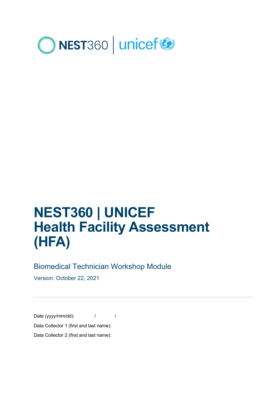

# **NEST360 | UNICEF Health Facility Assessment (HFA)**

# Biomedical Technician Workshop Module

Version: October 22, 2021

Date (yyyy/mm/dd):  $\frac{1}{2}$  / Data Collector 1 (first and last name): Data Collector 2 (first and last name):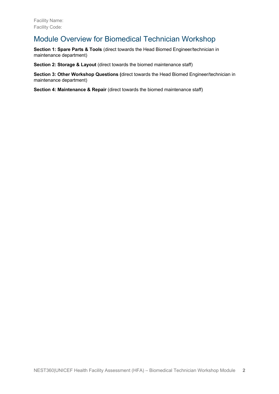# Module Overview for Biomedical Technician Workshop

**Section 1: Spare Parts & Tools** (direct towards the Head Biomed Engineer/technician in maintenance department)

**Section 2: Storage & Layout** (direct towards the biomed maintenance staff)

**Section 3: Other Workshop Questions (**direct towards the Head Biomed Engineer/technician in maintenance department)

**Section 4: Maintenance & Repair** (direct towards the biomed maintenance staff)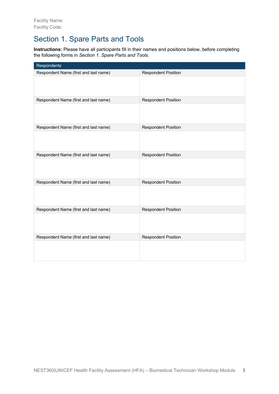# Section 1. Spare Parts and Tools

**Instructions:** Please have all participants fill in their names and positions below, before completing the following forms in *Section 1. Spare Parts and Tools*.

| Respondents                           |                            |
|---------------------------------------|----------------------------|
| Respondent Name (first and last name) | <b>Respondent Position</b> |
|                                       |                            |
| Respondent Name (first and last name) | <b>Respondent Position</b> |
|                                       |                            |
| Respondent Name (first and last name) | <b>Respondent Position</b> |
|                                       |                            |
| Respondent Name (first and last name) | <b>Respondent Position</b> |
|                                       |                            |
| Respondent Name (first and last name) | <b>Respondent Position</b> |
|                                       |                            |
| Respondent Name (first and last name) | <b>Respondent Position</b> |
|                                       |                            |
| Respondent Name (first and last name) | <b>Respondent Position</b> |
|                                       |                            |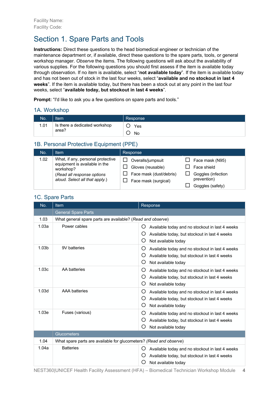# Section 1. Spare Parts and Tools

**Instructions:** Direct these questions to the head biomedical engineer or technician of the maintenance department or, if available, direct these questions to the spare parts, tools, or general workshop manager. *Observe* the items. The following questions will ask about the availability of various supplies. For the following questions you should first assess if the item is available today through observation. If no item is available, select "**not available today**". If the item is available today and has not been out of stock in the last four weeks, select "**available and no stockout in last 4 weeks**". If the item is available today, but there has been a stock out at any point in the last four weeks, select "**available today, but stockout in last 4 weeks**".

**Prompt:** "I'd like to ask you a few questions on spare parts and tools."

#### 1A. Workshop

| No.  | Item                                   | Response  |
|------|----------------------------------------|-----------|
| 1.01 | Is there a dedicated workshop<br>area? | Yes<br>No |

# 1B. Personal Protective Equipment (PPE)

| No.  | Item                                                                                                                                            | Response                                                                                  |                                                                                         |
|------|-------------------------------------------------------------------------------------------------------------------------------------------------|-------------------------------------------------------------------------------------------|-----------------------------------------------------------------------------------------|
| 1.02 | What, if any, personal protective<br>equipment is available in the<br>workshop?<br>(Read all response options<br>aloud. Select all that apply.) | Overalls/jumpsuit<br>Gloves (reusable)<br>Face mask (dust/debris)<br>Face mask (surgical) | Face mask (N95)<br>Face shield<br>Goggles (infection<br>prevention)<br>Goggles (safety) |

# No. Item Response General Spare Parts 1.03 What general spare parts are available? (*Read and observe*) 1.03a Power cables ¡ Available today and no stockout in last 4 weeks ¡ Available today, but stockout in last 4 weeks  $O$  Not available today 1.03b 9V batteries **••** Available today and no stockout in last 4 weeks  $\circ$  Available today, but stockout in last 4 weeks O Not available today 1.03c AA batteries **ALC AVAILABLE ARTS AVAILABLE AVAILABLE 1.03c** Available today and no stockout in last 4 weeks  $O$  Available today, but stockout in last 4 weeks O Not available today 1.03d AAA batteries <br>  $\overline{O}$  Available today and no stockout in last 4 weeks  $O$  Available today, but stockout in last 4 weeks  $O$  Not available today 1.03e Fuses (various) **•**  $\overline{O}$  Available today and no stockout in last 4 weeks ¡ Available today, but stockout in last 4 weeks  $O$  Not available today **Glucometers** 1.04 What spare parts are available for glucometers? *(Read and observe*) 1.04a Batteries **Exercise Exercise EX Available today and no stockout in last 4 weeks** ¡ Available today, but stockout in last 4 weeks  $O$  Not available today

#### 1C. Spare Parts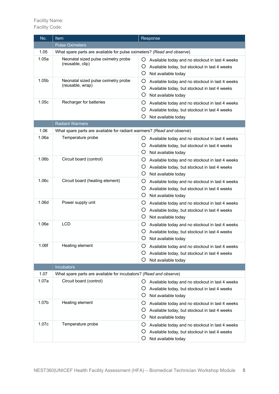| No.   | Item                                                                   | Response                                                                                                                               |
|-------|------------------------------------------------------------------------|----------------------------------------------------------------------------------------------------------------------------------------|
|       | <b>Pulse Oximeters</b>                                                 |                                                                                                                                        |
| 1.05  | What spare parts are available for pulse oximeters? (Read and observe) |                                                                                                                                        |
| 1.05a | Neonatal sized pulse oximetry probe<br>(reusable, clip)                | Ő<br>Available today and no stockout in last 4 weeks<br>O<br>Available today, but stockout in last 4 weeks<br>O<br>Not available today |
| 1.05b | Neonatal sized pulse oximetry probe<br>(reusable, wrap)                | O<br>Available today and no stockout in last 4 weeks<br>O<br>Available today, but stockout in last 4 weeks<br>O<br>Not available today |
| 1.05c | Recharger for batteries                                                | O<br>Available today and no stockout in last 4 weeks<br>O<br>Available today, but stockout in last 4 weeks<br>O<br>Not available today |
|       | <b>Radiant Warmers</b>                                                 |                                                                                                                                        |
| 1.06  | What spare parts are available for radiant warmers? (Read and observe) |                                                                                                                                        |
| 1.06a | Temperature probe                                                      | Ő<br>Available today and no stockout in last 4 weeks<br>O<br>Available today, but stockout in last 4 weeks<br>O<br>Not available today |
| 1.06b | Circuit board (control)                                                | O<br>Available today and no stockout in last 4 weeks<br>O<br>Available today, but stockout in last 4 weeks<br>O<br>Not available today |
| 1.06c | Circuit board (heating element)                                        | O<br>Available today and no stockout in last 4 weeks<br>O<br>Available today, but stockout in last 4 weeks<br>O<br>Not available today |
| 1.06d | Power supply unit                                                      | O<br>Available today and no stockout in last 4 weeks<br>O<br>Available today, but stockout in last 4 weeks<br>O<br>Not available today |
| 1.06e | <b>LCD</b>                                                             | O<br>Available today and no stockout in last 4 weeks<br>O<br>Available today, but stockout in last 4 weeks<br>O<br>Not available today |
| 1.06f | Heating element                                                        | Available today and no stockout in last 4 weeks<br>Ő<br>O<br>Available today, but stockout in last 4 weeks<br>O<br>Not available today |
|       | <b>Incubators</b>                                                      |                                                                                                                                        |
| 1.07  | What spare parts are available for incubators? (Read and observe)      |                                                                                                                                        |
| 1.07a | Circuit board (control)                                                | Ő<br>Available today and no stockout in last 4 weeks<br>Ő<br>Available today, but stockout in last 4 weeks<br>O<br>Not available today |
| 1.07b | Heating element                                                        | O<br>Available today and no stockout in last 4 weeks<br>O<br>Available today, but stockout in last 4 weeks<br>O<br>Not available today |
| 1.07c | Temperature probe                                                      | O<br>Available today and no stockout in last 4 weeks<br>O<br>Available today, but stockout in last 4 weeks<br>O<br>Not available today |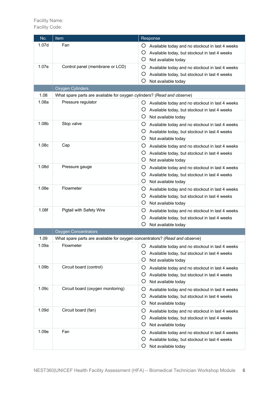| No.   | Item                                                                        | Response                                                |
|-------|-----------------------------------------------------------------------------|---------------------------------------------------------|
| 1.07d | Fan                                                                         | O<br>Available today and no stockout in last 4 weeks    |
|       |                                                                             | O<br>Available today, but stockout in last 4 weeks      |
|       |                                                                             | O<br>Not available today                                |
| 1.07e | Control panel (membrane or LCD)                                             | O<br>Available today and no stockout in last 4 weeks    |
|       |                                                                             | O<br>Available today, but stockout in last 4 weeks      |
|       |                                                                             | O<br>Not available today                                |
|       | Oxygen Cylinders                                                            |                                                         |
| 1.08  | What spare parts are available for oxygen cylinders? (Read and observe)     |                                                         |
| 1.08a | Pressure regulator                                                          | Ő<br>Available today and no stockout in last 4 weeks    |
|       |                                                                             | O<br>Available today, but stockout in last 4 weeks      |
|       |                                                                             | O<br>Not available today                                |
| 1.08b | Stop valve                                                                  | O<br>Available today and no stockout in last 4 weeks    |
|       |                                                                             | O<br>Available today, but stockout in last 4 weeks      |
|       |                                                                             | O<br>Not available today                                |
| 1.08c | Cap                                                                         | O<br>Available today and no stockout in last 4 weeks    |
|       |                                                                             | O<br>Available today, but stockout in last 4 weeks      |
|       |                                                                             | O<br>Not available today                                |
| 1.08d | Pressure gauge                                                              | O<br>Available today and no stockout in last 4 weeks    |
|       |                                                                             | O<br>Available today, but stockout in last 4 weeks      |
|       |                                                                             | O<br>Not available today                                |
| 1.08e | Flowmeter                                                                   | O<br>Available today and no stockout in last 4 weeks    |
|       |                                                                             | O<br>Available today, but stockout in last 4 weeks      |
|       |                                                                             | O<br>Not available today                                |
| 1.08f | Pigtail with Safety Wire                                                    | O<br>Available today and no stockout in last 4 weeks    |
|       |                                                                             | O<br>Available today, but stockout in last 4 weeks      |
|       |                                                                             | O<br>Not available today                                |
|       | <b>Oxygen Concentrators</b>                                                 |                                                         |
| 1.09  | What spare parts are available for oxygen concentrators? (Read and observe) |                                                         |
| 1.09a | Flowmeter                                                                   | Ő<br>Available today and no stockout in last 4 weeks    |
|       |                                                                             | O<br>Available today, but stockout in last 4 weeks      |
|       |                                                                             | O<br>Not available today                                |
| 1.09b | Circuit board (control)                                                     |                                                         |
|       |                                                                             | O<br>Available today and no stockout in last 4 weeks    |
|       |                                                                             | O<br>Available today, but stockout in last 4 weeks<br>O |
| 1.09c |                                                                             | Not available today                                     |
|       | Circuit board (oxygen monitoring)                                           | O<br>Available today and no stockout in last 4 weeks    |
|       |                                                                             | O<br>Available today, but stockout in last 4 weeks      |
|       |                                                                             | O<br>Not available today                                |
| 1.09d | Circuit board (fan)                                                         | O<br>Available today and no stockout in last 4 weeks    |
|       |                                                                             | O<br>Available today, but stockout in last 4 weeks      |
|       |                                                                             | O<br>Not available today                                |
| 1.09e | Fan                                                                         | O<br>Available today and no stockout in last 4 weeks    |
|       |                                                                             | O<br>Available today, but stockout in last 4 weeks      |
|       |                                                                             | O<br>Not available today                                |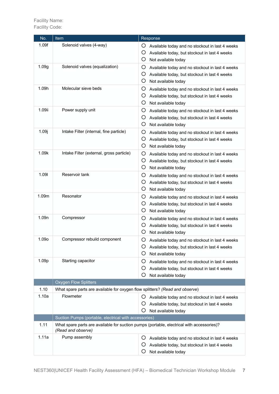| No.               | Item                                                                                                            | Response                                                                                                                               |
|-------------------|-----------------------------------------------------------------------------------------------------------------|----------------------------------------------------------------------------------------------------------------------------------------|
| 1.09f             | Solenoid valves (4-way)                                                                                         | O<br>Available today and no stockout in last 4 weeks<br>O<br>Available today, but stockout in last 4 weeks<br>O<br>Not available today |
| 1.09g             | Solenoid valves (equalization)                                                                                  | Available today and no stockout in last 4 weeks<br>Ő<br>O<br>Available today, but stockout in last 4 weeks<br>O<br>Not available today |
| 1.09h             | Molecular sieve beds                                                                                            | O<br>Available today and no stockout in last 4 weeks<br>O<br>Available today, but stockout in last 4 weeks<br>O<br>Not available today |
| 1.09ii            | Power supply unit                                                                                               | O<br>Available today and no stockout in last 4 weeks<br>O<br>Available today, but stockout in last 4 weeks<br>O<br>Not available today |
| 1.09i             | Intake Filter (internal, fine particle)                                                                         | O<br>Available today and no stockout in last 4 weeks<br>O<br>Available today, but stockout in last 4 weeks<br>O<br>Not available today |
| 1.09k             | Intake Filter (external, gross particle)                                                                        | O<br>Available today and no stockout in last 4 weeks<br>O<br>Available today, but stockout in last 4 weeks<br>O<br>Not available today |
| 1.091             | Reservoir tank                                                                                                  | O<br>Available today and no stockout in last 4 weeks<br>O<br>Available today, but stockout in last 4 weeks<br>O<br>Not available today |
| 1.09m             | Resonator                                                                                                       | O<br>Available today and no stockout in last 4 weeks<br>O<br>Available today, but stockout in last 4 weeks<br>O<br>Not available today |
| 1.09 <sub>n</sub> | Compressor                                                                                                      | O<br>Available today and no stockout in last 4 weeks<br>O<br>Available today, but stockout in last 4 weeks<br>O<br>Not available today |
| 1.09o             | Compressor rebuild component                                                                                    | O<br>Available today and no stockout in last 4 weeks<br>Available today, but stockout in last 4 weeks<br>Ő<br>O<br>Not available today |
| 1.09p             | Starting capacitor                                                                                              | O<br>Available today and no stockout in last 4 weeks<br>O<br>Available today, but stockout in last 4 weeks<br>O<br>Not available today |
|                   | <b>Oxygen Flow Splitters</b>                                                                                    |                                                                                                                                        |
| 1.10              | What spare parts are available for oxygen flow splitters? (Read and observe)                                    |                                                                                                                                        |
| 1.10a             | Flowmeter                                                                                                       | O<br>Available today and no stockout in last 4 weeks                                                                                   |
|                   |                                                                                                                 | O<br>Available today, but stockout in last 4 weeks<br>O<br>Not available today                                                         |
|                   | Suction Pumps (portable, electrical with accessories)                                                           |                                                                                                                                        |
| 1.11              | What spare parts are available for suction pumps (portable, electrical with accessories)?<br>(Read and observe) |                                                                                                                                        |
| 1.11a             | Pump assembly                                                                                                   | Available today and no stockout in last 4 weeks<br>Ő                                                                                   |
|                   |                                                                                                                 | O<br>Available today, but stockout in last 4 weeks                                                                                     |
|                   |                                                                                                                 | O<br>Not available today                                                                                                               |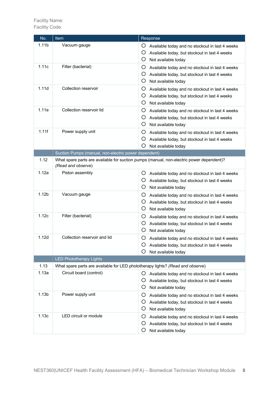| No.               | <b>Item</b>                                                                                                    | Response                                                                                                                               |
|-------------------|----------------------------------------------------------------------------------------------------------------|----------------------------------------------------------------------------------------------------------------------------------------|
| 1.11 <sub>b</sub> | Vacuum gauge                                                                                                   | O<br>Available today and no stockout in last 4 weeks<br>O<br>Available today, but stockout in last 4 weeks<br>O<br>Not available today |
| 1.11c             | Filter (bacterial)                                                                                             | O<br>Available today and no stockout in last 4 weeks<br>O<br>Available today, but stockout in last 4 weeks<br>O<br>Not available today |
| 1.11d             | Collection reservoir                                                                                           | O<br>Available today and no stockout in last 4 weeks<br>O<br>Available today, but stockout in last 4 weeks<br>O<br>Not available today |
| 1.11e             | Collection reservoir lid                                                                                       | O<br>Available today and no stockout in last 4 weeks<br>O<br>Available today, but stockout in last 4 weeks<br>O<br>Not available today |
| 1.11f             | Power supply unit                                                                                              | O<br>Available today and no stockout in last 4 weeks<br>O<br>Available today, but stockout in last 4 weeks<br>O<br>Not available today |
|                   | Suction Pumps (manual, non-electric power dependent)                                                           |                                                                                                                                        |
| 1.12              | What spare parts are available for suction pumps (manual, non-electric power dependent)?<br>(Read and observe) |                                                                                                                                        |
| 1.12a             | Piston assembly                                                                                                | Ő<br>Available today and no stockout in last 4 weeks<br>O<br>Available today, but stockout in last 4 weeks<br>O<br>Not available today |
| 1.12 <sub>b</sub> | Vacuum gauge                                                                                                   | O<br>Available today and no stockout in last 4 weeks<br>O<br>Available today, but stockout in last 4 weeks<br>O<br>Not available today |
| 1.12c             | Filter (bacterial)                                                                                             | O<br>Available today and no stockout in last 4 weeks<br>O<br>Available today, but stockout in last 4 weeks<br>O<br>Not available today |
| 1.12d             | Collection reservoir and lid                                                                                   | Ő<br>Available today and no stockout in last 4 weeks<br>O<br>Available today, but stockout in last 4 weeks<br>O<br>Not available today |
|                   | <b>LED Phototherapy Lights</b>                                                                                 |                                                                                                                                        |
| 1.13              | What spare parts are available for LED phototherapy lights? (Read and observe)                                 |                                                                                                                                        |
| 1.13a             | Circuit board (control)                                                                                        | Ő<br>Available today and no stockout in last 4 weeks<br>Ő<br>Available today, but stockout in last 4 weeks<br>O<br>Not available today |
| 1.13 <sub>b</sub> | Power supply unit                                                                                              | O<br>Available today and no stockout in last 4 weeks<br>O<br>Available today, but stockout in last 4 weeks<br>O<br>Not available today |
| 1.13c             | LED circuit or module                                                                                          | O<br>Available today and no stockout in last 4 weeks<br>O<br>Available today, but stockout in last 4 weeks<br>O<br>Not available today |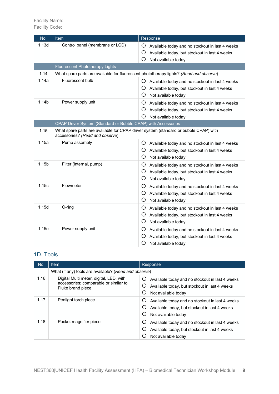Facility Name: Facility Code:

| No.               | Item                                                                                                                    | Response                                                                                                                               |
|-------------------|-------------------------------------------------------------------------------------------------------------------------|----------------------------------------------------------------------------------------------------------------------------------------|
| 1.13d             | Control panel (membrane or LCD)                                                                                         | O<br>Available today and no stockout in last 4 weeks<br>O<br>Available today, but stockout in last 4 weeks<br>O<br>Not available today |
|                   | <b>Fluorescent Phototherapy Lights</b>                                                                                  |                                                                                                                                        |
| 1.14              | What spare parts are available for fluorescent phototherapy lights? (Read and observe)                                  |                                                                                                                                        |
| 1.14a             | Fluorescent bulb                                                                                                        | O<br>Available today and no stockout in last 4 weeks<br>O<br>Available today, but stockout in last 4 weeks<br>O<br>Not available today |
| 1.14b             | Power supply unit                                                                                                       | O<br>Available today and no stockout in last 4 weeks<br>O<br>Available today, but stockout in last 4 weeks<br>O<br>Not available today |
|                   | CPAP Driver System (Standard or Bubble CPAP) with Accessories                                                           |                                                                                                                                        |
| 1.15              | What spare parts are available for CPAP driver system (standard or bubble CPAP) with<br>accessories? (Read and observe) |                                                                                                                                        |
| 1.15a             | Pump assembly                                                                                                           | O<br>Available today and no stockout in last 4 weeks<br>Ő<br>Available today, but stockout in last 4 weeks<br>O<br>Not available today |
| 1.15 <sub>b</sub> | Filter (internal, pump)                                                                                                 | O<br>Available today and no stockout in last 4 weeks<br>O<br>Available today, but stockout in last 4 weeks<br>O<br>Not available today |
| 1.15c             | Flowmeter                                                                                                               | O<br>Available today and no stockout in last 4 weeks<br>O<br>Available today, but stockout in last 4 weeks<br>O<br>Not available today |
| 1.15d             | O-ring                                                                                                                  | O<br>Available today and no stockout in last 4 weeks<br>O<br>Available today, but stockout in last 4 weeks<br>O<br>Not available today |
| 1.15e             | Power supply unit                                                                                                       | O<br>Available today and no stockout in last 4 weeks<br>O<br>Available today, but stockout in last 4 weeks<br>O<br>Not available today |

# 1D. Tools

| No.  | Item                                                                                                  | Response                                                                                                                               |
|------|-------------------------------------------------------------------------------------------------------|----------------------------------------------------------------------------------------------------------------------------------------|
|      | What (if any) tools are available? (Read and observe)                                                 |                                                                                                                                        |
| 1.16 | Digital Multi meter, digital, LED, with<br>accessories; comparable or similar to<br>Fluke brand piece | Available today and no stockout in last 4 weeks<br>O<br>Available today, but stockout in last 4 weeks<br>Ő<br>Not available today<br>Ő |
| 1.17 | Penlight torch piece                                                                                  | Available today and no stockout in last 4 weeks<br>Ő<br>Available today, but stockout in last 4 weeks<br>Ő<br>Not available today      |
| 1.18 | Pocket magnifier piece                                                                                | Available today and no stockout in last 4 weeks<br>Available today, but stockout in last 4 weeks<br>Not available today                |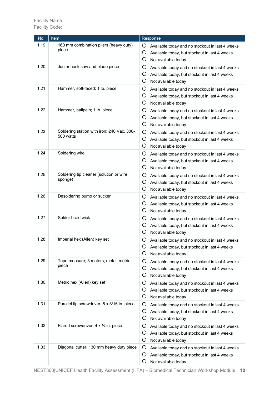| No.  | Item                                                    | Response                                                                                                                                     |
|------|---------------------------------------------------------|----------------------------------------------------------------------------------------------------------------------------------------------|
| 1.19 | 160 mm combination pliers (heavy duty)<br>piece         | O<br>Available today and no stockout in last 4 weeks<br>O<br>Available today, but stockout in last 4 weeks<br>O<br>Not available today       |
| 1.20 | Junior hack saw and blade piece                         | Ő<br>Available today and no stockout in last 4 weeks<br>O<br>Available today, but stockout in last 4 weeks<br>O<br>Not available today       |
| 1.21 | Hammer, soft-faced; 1 lb. piece                         | O<br>Available today and no stockout in last 4 weeks<br>O<br>Available today, but stockout in last 4 weeks<br>O<br>Not available today       |
| 1.22 | Hammer, ballpein; 1 lb. piece                           | O<br>Available today and no stockout in last 4 weeks<br>O<br>Available today, but stockout in last 4 weeks<br>O<br>Not available today       |
| 1.23 | Soldering station with iron; 240 Vac, 300-<br>500 watts | O<br>Available today and no stockout in last 4 weeks<br>O<br>Available today, but stockout in last 4 weeks<br>O<br>Not available today       |
| 1.24 | Soldering wire                                          | O<br>Available today and no stockout in last 4 weeks<br>O<br>Available today, but stockout in last 4 weeks<br>O<br>Not available today       |
| 1.25 | Soldering tip cleaner (solution or wire<br>sponge)      | O<br>Available today and no stockout in last 4 weeks<br>O<br>Available today, but stockout in last 4 weeks<br>O<br>Not available today       |
| 1.26 | Desoldering pump or sucker                              | Ő<br>Available today and no stockout in last 4 weeks<br>Ő<br>Available today, but stockout in last 4 weeks<br>O<br>Not available today       |
| 1.27 | Solder braid wick                                       | O<br>Available today and no stockout in last 4 weeks<br>Ő<br>Available today, but stockout in last 4 weeks<br>O<br>Not available today       |
| 1.28 | Imperial hex (Allen) key set                            | O<br>Available today and no stockout in last 4 weeks<br>Available today, but stockout in last 4 weeks<br>Ő<br>O<br>Not available today       |
| 1.29 | Tape measure; 3 meters; metal, metric<br>piece          | O<br>Available today and no stockout in last 4 weeks<br>O<br>Available today, but stockout in last 4 weeks<br>O<br>Not available today       |
| 1.30 | Metric hex (Allen) key set                              | O<br>Available today and no stockout in last 4 weeks<br>O<br>Available today, but stockout in last 4 weeks<br>O<br>Not available today       |
| 1.31 | Parallel tip screwdriver; 6 x 3/16 in. piece            | O<br>Available today and no stockout in last 4 weeks<br>O<br>Available today, but stockout in last 4 weeks<br>$\circ$<br>Not available today |
| 1.32 | Flared screwdriver; $4 \times \frac{1}{4}$ in. piece    | O<br>Available today and no stockout in last 4 weeks<br>O<br>Available today, but stockout in last 4 weeks<br>O<br>Not available today       |
| 1.33 | Diagonal cutter; 130 mm heavy duty piece                | O<br>Available today and no stockout in last 4 weeks<br>O<br>Available today, but stockout in last 4 weeks<br>O<br>Not available today       |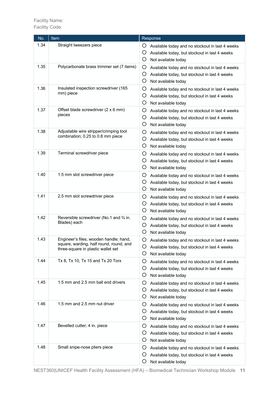| No.  | Item                                                                                                                    | Response                                                                                                                                     |
|------|-------------------------------------------------------------------------------------------------------------------------|----------------------------------------------------------------------------------------------------------------------------------------------|
| 1.34 | Straight tweezers piece                                                                                                 | O<br>Available today and no stockout in last 4 weeks<br>O<br>Available today, but stockout in last 4 weeks<br>O<br>Not available today       |
| 1.35 | Polycarbonate brass trimmer set (7 items)                                                                               | O<br>Available today and no stockout in last 4 weeks<br>O<br>Available today, but stockout in last 4 weeks<br>O<br>Not available today       |
| 1.36 | Insulated inspection screwdriver (165<br>mm) piece                                                                      | O<br>Available today and no stockout in last 4 weeks<br>O<br>Available today, but stockout in last 4 weeks<br>O<br>Not available today       |
| 1.37 | Offset blade screwdriver (2 x 6 mm)<br>pieces                                                                           | O<br>Available today and no stockout in last 4 weeks<br>O<br>Available today, but stockout in last 4 weeks<br>O<br>Not available today       |
| 1.38 | Adjustable wire stripper/crimping tool<br>combination; 0.25 to 0.8 mm piece                                             | O<br>Available today and no stockout in last 4 weeks<br>O<br>Available today, but stockout in last 4 weeks<br>O<br>Not available today       |
| 1.39 | Terminal screwdriver piece                                                                                              | Ő<br>Available today and no stockout in last 4 weeks<br>Ő<br>Available today, but stockout in last 4 weeks<br>O<br>Not available today       |
| 1.40 | 1.5 mm slot screwdriver piece                                                                                           | O<br>Available today and no stockout in last 4 weeks<br>O<br>Available today, but stockout in last 4 weeks<br>O<br>Not available today       |
| 1.41 | 2.5 mm slot screwdriver piece                                                                                           | Ő<br>Available today and no stockout in last 4 weeks<br>Ő<br>Available today, but stockout in last 4 weeks<br>O<br>Not available today       |
| 1.42 | Reversible screwdriver (No.1 and 3/4 in.<br>Blades) each                                                                | O<br>Available today and no stockout in last 4 weeks<br>Ő<br>Available today, but stockout in last 4 weeks<br>O<br>Not available today       |
| 1.43 | Engineer's files; wooden handle; hand,<br>square, warding, half round, round, and<br>three-square in plastic wallet set | O<br>Available today and no stockout in last 4 weeks<br>Available today, but stockout in last 4 weeks<br>Ő<br>Not available today            |
| 1.44 | Tx 8, Tx 10, Tx 15 and Tx 20 Torx                                                                                       | Ő<br>Available today and no stockout in last 4 weeks<br>Ő<br>Available today, but stockout in last 4 weeks<br>O<br>Not available today       |
| 1.45 | 1.5 mm and 2.5 mm ball end drivers                                                                                      | O<br>Available today and no stockout in last 4 weeks<br>Ő<br>Available today, but stockout in last 4 weeks<br>Ő<br>Not available today       |
| 1.46 | 1.5 mm and 2.5 mm nut driver                                                                                            | O<br>Available today and no stockout in last 4 weeks<br>$\circ$<br>Available today, but stockout in last 4 weeks<br>O<br>Not available today |
| 1.47 | Bevelled cutter; 4 in. piece                                                                                            | Ő<br>Available today and no stockout in last 4 weeks<br>Ő<br>Available today, but stockout in last 4 weeks<br>Ő<br>Not available today       |
| 1.48 | Small snipe-nose pliers piece                                                                                           | Ő<br>Available today and no stockout in last 4 weeks<br>$\circ$<br>Available today, but stockout in last 4 weeks<br>Ő<br>Not available today |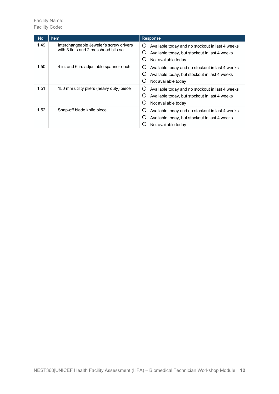| No.  | <b>Item</b>                                                                      | Response                                                                                                                          |
|------|----------------------------------------------------------------------------------|-----------------------------------------------------------------------------------------------------------------------------------|
| 1.49 | Interchangeable Jeweler's screw drivers<br>with 3 flats and 2 crosshead bits set | Available today and no stockout in last 4 weeks<br>Ő<br>Available today, but stockout in last 4 weeks<br>Ő<br>Not available today |
| 1.50 | 4 in. and 6 in. adjustable spanner each                                          | Available today and no stockout in last 4 weeks<br>Ő<br>Available today, but stockout in last 4 weeks<br>Not available today<br>O |
| 1.51 | 150 mm utility pliers (heavy duty) piece                                         | Available today and no stockout in last 4 weeks<br>O<br>Available today, but stockout in last 4 weeks<br>Not available today<br>Ő |
| 1.52 | Snap-off blade knife piece                                                       | Available today and no stockout in last 4 weeks<br>O<br>Available today, but stockout in last 4 weeks<br>Not available today      |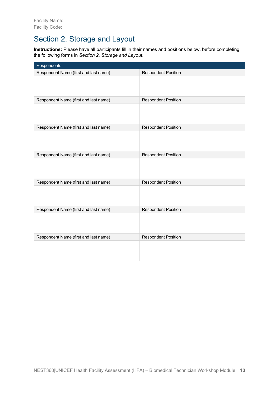# Section 2. Storage and Layout

**Instructions:** Please have all participants fill in their names and positions below, before completing the following forms in *Section 2. Storage and Layout*.

| Respondents                           |                            |
|---------------------------------------|----------------------------|
| Respondent Name (first and last name) | <b>Respondent Position</b> |
|                                       |                            |
| Respondent Name (first and last name) | <b>Respondent Position</b> |
|                                       |                            |
| Respondent Name (first and last name) | <b>Respondent Position</b> |
|                                       |                            |
| Respondent Name (first and last name) | <b>Respondent Position</b> |
|                                       |                            |
| Respondent Name (first and last name) | <b>Respondent Position</b> |
|                                       |                            |
| Respondent Name (first and last name) | <b>Respondent Position</b> |
|                                       |                            |
| Respondent Name (first and last name) | <b>Respondent Position</b> |
|                                       |                            |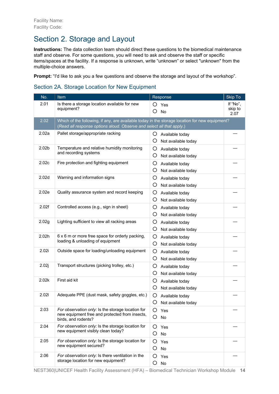# Section 2. Storage and Layout

**Instructions:** The data collection team should direct these questions to the biomedical maintenance staff and observe. For some questions, you will need to ask and observe the staff or specific items/spaces at the facility. If a response is unknown, write "unknown" or select "unknown" from the multiple-choice answers.

**Prompt:** "I'd like to ask you a few questions and observe the storage and layout of the workshop".

# Section 2A. Storage Location for New Equipment

| No.               | Item                                                                                                | Response                                    | <b>Skip To</b>  |
|-------------------|-----------------------------------------------------------------------------------------------------|---------------------------------------------|-----------------|
| 2.01              | Is there a storage location available for new                                                       | O<br>Yes                                    | If "No",        |
|                   | equipment?                                                                                          | O<br><b>No</b>                              | skip to<br>2.07 |
| 2.02              | Which of the following, if any, are available today in the storage location for new equipment?      |                                             |                 |
|                   | (Read all response options aloud. Observe and select all that apply.)                               |                                             |                 |
| 2.02a             | Pallet storage/appropriate racking                                                                  | O<br>Available today                        |                 |
|                   |                                                                                                     | O<br>Not available today                    |                 |
| 2.02 <sub>b</sub> | Temperature and relative humidity monitoring                                                        | O<br>Available today                        |                 |
|                   | and recording systems                                                                               | O<br>Not available today                    |                 |
| 2.02c             | Fire protection and fighting equipment                                                              | O<br>Available today                        |                 |
|                   |                                                                                                     | O<br>Not available today                    |                 |
| 2.02 <sub>d</sub> | Warning and information signs                                                                       | O<br>Available today                        |                 |
|                   |                                                                                                     | O<br>Not available today                    |                 |
| 2.02e             | Quality assurance system and record keeping                                                         | O<br>Available today                        |                 |
|                   |                                                                                                     | O<br>Not available today                    |                 |
| 2.02f             | Controlled access (e.g., sign in sheet)                                                             | O<br>Available today                        |                 |
|                   |                                                                                                     | O<br>Not available today                    |                 |
| 2.02g             | Lighting sufficient to view all racking areas                                                       | O<br>Available today                        |                 |
|                   |                                                                                                     | O<br>Not available today                    |                 |
| 2.02h             | 6 x 6 m or more free space for orderly packing,                                                     | O                                           |                 |
|                   | loading & unloading of equipment                                                                    | Available today<br>O<br>Not available today |                 |
| 2.02i             | Outside space for loading/unloading equipment                                                       |                                             |                 |
|                   |                                                                                                     | O<br>Available today<br>O                   |                 |
|                   |                                                                                                     | Not available today                         |                 |
| 2.02j             | Transport structures (picking trolley, etc.)                                                        | O<br>Available today                        |                 |
|                   |                                                                                                     | O<br>Not available today                    |                 |
| 2.02k             | First aid kit                                                                                       | O<br>Available today                        |                 |
|                   |                                                                                                     | O<br>Not available today                    |                 |
| 2.021             | Adequate PPE (dust mask, safety goggles, etc.)                                                      | O<br>Available today                        |                 |
|                   |                                                                                                     | O<br>Not available today                    |                 |
| 2.03              | For observation only: Is the storage location for<br>new equipment free and protected from insects, | Ő<br>Yes                                    |                 |
|                   | birds, and rodents?                                                                                 | O<br>No                                     |                 |
| 2.04              | For observation only: Is the storage location for                                                   | Ő<br>Yes                                    |                 |
|                   | new equipment visibly clean today?                                                                  | O<br>No                                     |                 |
| 2.05              | For observation only: Is the storage location for<br>new equipment secured?                         | O<br>Yes                                    |                 |
|                   |                                                                                                     | O<br>No                                     |                 |
| 2.06              | For observation only: Is there ventilation in the                                                   | O<br>Yes                                    |                 |
|                   | storage location for new equipment?                                                                 | O<br>No                                     |                 |

NEST360|UNICEF Health Facility Assessment (HFA) – Biomedical Technician Workshop Module **14**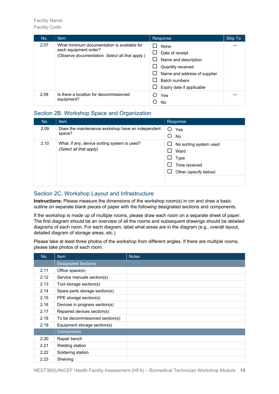| No.  | <b>Item</b>                                                                                                             | Response                                                                                                                                                  | Skip To |
|------|-------------------------------------------------------------------------------------------------------------------------|-----------------------------------------------------------------------------------------------------------------------------------------------------------|---------|
| 2.07 | What minimum documentation is available for<br>each equipment order?<br>(Observe documentation. Select all that apply.) | <b>None</b><br>Date of receipt<br>Name and description<br>Quantity received<br>Name and address of supplier<br>Batch numbers<br>Expiry date if applicable |         |
| 2.08 | Is there a location for decommissioned<br>equipment?                                                                    | Yes<br>No                                                                                                                                                 |         |

#### Section 2B. Workshop Space and Organization

| No.  | <b>Item</b>                                       | Response                    |
|------|---------------------------------------------------|-----------------------------|
| 2.09 | Does the maintenance workshop have an independent | Yes                         |
|      | space?                                            | O<br>No                     |
| 2.10 | What, if any, device sorting system is used?      | No sorting system used<br>ப |
|      | (Select all that apply)                           | Ward                        |
|      |                                                   | Type<br>ப                   |
|      |                                                   | Time received               |
|      |                                                   | Other (specify below)       |
|      |                                                   |                             |
|      |                                                   |                             |

#### Section 2C. Workshop Layout and Infrastructure

**Instructions:** Please measure the dimensions of the workshop room(s) in cm and draw a basic outline on separate blank pieces of paper with the following designated sections and components.

If the workshop is made up of multiple rooms, please draw each room on a separate sheet of paper. The first diagram should be an overview of all the rooms and subsequent drawings should be detailed diagrams of each room. For each diagram, label what areas are in the diagram (e.g., overall layout, detailed diagram of storage areas, etc.).

Please take at least three photos of the workshop from different angles. If there are multiple rooms, please take photos of each room.

| No.  | <b>Item</b>                     | <b>Notes</b> |
|------|---------------------------------|--------------|
|      | <b>Designated Sections</b>      |              |
| 2.11 | Office space(s)                 |              |
| 2.12 | Service manuals section(s)      |              |
| 2.13 | Tool storage section(s)         |              |
| 2.14 | Spare parts storage section(s)  |              |
| 2.15 | PPE storage section(s)          |              |
| 2.16 | Devices in progress section(s)  |              |
| 2.17 | Repaired devices section(s)     |              |
| 2.18 | To be decommissioned section(s) |              |
| 2.19 | Equipment storage section(s)    |              |
|      | Components                      |              |
| 2.20 | Repair bench                    |              |
| 2.21 | Welding station                 |              |
| 2.22 | Soldering station               |              |
| 2.23 | Shelving                        |              |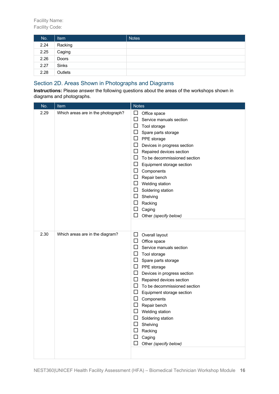| No.  | Item         | <b>Notes</b> |
|------|--------------|--------------|
| 2.24 | Racking      |              |
| 2.25 | Caging       |              |
| 2.26 | Doors        |              |
| 2.27 | <b>Sinks</b> |              |
| 2.28 | Outlets      |              |

# Section 2D. Areas Shown in Photographs and Diagrams

**Instructions:** Please answer the following questions about the areas of the workshops shown in diagrams and photographs.

| No.  | Item                               | <b>Notes</b>                                                                                                                                                                                                                                                                                                                                                                                                                                                   |
|------|------------------------------------|----------------------------------------------------------------------------------------------------------------------------------------------------------------------------------------------------------------------------------------------------------------------------------------------------------------------------------------------------------------------------------------------------------------------------------------------------------------|
| 2.29 | Which areas are in the photograph? | $\Box$<br>Office space<br>ப<br>Service manuals section<br>Tool storage<br>ப<br>ப<br>Spare parts storage<br>PPE storage<br>Ц<br>$\Box$<br>Devices in progress section<br>$\Box$<br>Repaired devices section<br>To be decommissioned section<br>ப<br>ப<br>Equipment storage section<br>Components<br>ப<br>Repair bench<br>ப<br>Welding station<br>⊔<br>$\Box$<br>Soldering station<br>Shelving<br>ப<br>ப<br>Racking<br>ப<br>Caging<br>Other (specify below)<br>ப |
| 2.30 | Which areas are in the diagram?    | ⊔<br>Overall layout<br>ப<br>Office space<br>□<br>Service manuals section<br>ப<br>Tool storage<br>ப<br>Spare parts storage<br>ப<br>PPE storage<br>Devices in progress section<br>ப<br>$\Box$<br>Repaired devices section<br>To be decommissioned section<br>ப<br>ப<br>Equipment storage section<br>Components<br>Repair bench<br>Welding station<br>ப<br>Soldering station<br>ப<br>Shelving<br>ப<br>Racking<br>Caging<br>Other (specify below)                  |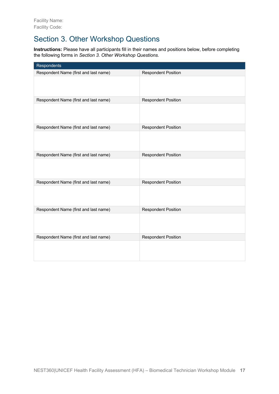# Section 3. Other Workshop Questions

**Instructions:** Please have all participants fill in their names and positions below, before completing the following forms in *Section 3. Other Workshop Questions.*

| Respondents                           |                            |
|---------------------------------------|----------------------------|
| Respondent Name (first and last name) | <b>Respondent Position</b> |
|                                       |                            |
| Respondent Name (first and last name) | <b>Respondent Position</b> |
|                                       |                            |
| Respondent Name (first and last name) | <b>Respondent Position</b> |
|                                       |                            |
| Respondent Name (first and last name) | <b>Respondent Position</b> |
|                                       |                            |
| Respondent Name (first and last name) | <b>Respondent Position</b> |
|                                       |                            |
| Respondent Name (first and last name) | <b>Respondent Position</b> |
|                                       |                            |
| Respondent Name (first and last name) | <b>Respondent Position</b> |
|                                       |                            |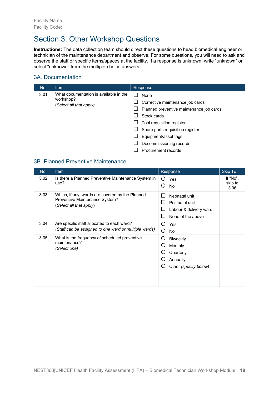# Section 3. Other Workshop Questions

**Instructions:** The data collection team should direct these questions to head biomedical engineer or technician of the maintenance department and observe. For some questions, you will need to ask and observe the staff or specific items/spaces at the facility. If a response is unknown, write "unknown" or select "unknown" from the multiple-choice answers.

### 3A. Documentation

| No.  | <b>Item</b>                                                                    | Response                                                                                                                                                                                                                                                 |
|------|--------------------------------------------------------------------------------|----------------------------------------------------------------------------------------------------------------------------------------------------------------------------------------------------------------------------------------------------------|
| 3.01 | What documentation is available in the<br>workshop?<br>(Select all that apply) | None<br>Corrective maintenance job cards<br>Planned preventive maintenance job cards<br>ப<br>Stock cards<br>Tool requisition register<br>ப<br>Spare parts requisition register<br>Equipment/asset tags<br>Decommissioning records<br>Procurement records |

### 3B. Planned Preventive Maintenance

| No.  | <b>Item</b>                                                                                                  | Response                                                                                       | Skip To                     |
|------|--------------------------------------------------------------------------------------------------------------|------------------------------------------------------------------------------------------------|-----------------------------|
| 3.02 | Is there a Planned Preventive Maintenance System in<br>use?                                                  | O<br>Yes<br>No.                                                                                | If "No",<br>skip to<br>3.06 |
| 3.03 | Which, if any, wards are covered by the Planned<br>Preventive Maintenance System?<br>(Select all that apply) | Neonatal unit<br>$\mathsf{L}$<br>Postnatal unit<br>Labour & delivery ward<br>None of the above |                             |
| 3.04 | Are specific staff allocated to each ward?<br>(Staff can be assigned to one ward or multiple wards)          | O<br>Yes<br>O<br>No                                                                            |                             |
| 3.05 | What is the frequency of scheduled preventive<br>maintenance?<br>(Select one)                                | O<br><b>Biweekly</b><br>Monthly<br>Quarterly<br>Annually<br>O<br>Other (specify below)         |                             |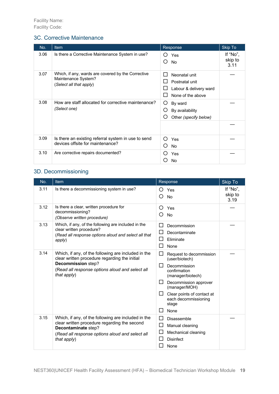### 3C. Corrective Maintenance

| No.  | Item                                                                                                 | Response                                                                            | Skip To                     |
|------|------------------------------------------------------------------------------------------------------|-------------------------------------------------------------------------------------|-----------------------------|
| 3.06 | Is there a Corrective Maintenance System in use?                                                     | Yes<br>()<br>◯<br><b>No</b>                                                         | If "No",<br>skip to<br>3.11 |
| 3.07 | Which, if any, wards are covered by the Corrective<br>Maintenance System?<br>(Select all that apply) | Neonatal unit<br>L<br>Postnatal unit<br>Labour & delivery ward<br>None of the above |                             |
| 3.08 | How are staff allocated for corrective maintenance?<br>(Select one)                                  | O<br>By ward<br>Ο<br>By availability<br>Ω<br>Other (specify below)                  |                             |
| 3.09 | Is there an existing referral system in use to send<br>devices offsite for maintenance?              | ∩<br>Yes<br>ທ<br><b>No</b>                                                          |                             |
| 3.10 | Are corrective repairs documented?                                                                   | ( )<br>Yes<br>No                                                                    |                             |

# 3D. Decommissioning

| No.  | Item                                                                                                                                                                                         | Response                                                                                                                                                                                                                                                   | <b>Skip To</b>              |
|------|----------------------------------------------------------------------------------------------------------------------------------------------------------------------------------------------|------------------------------------------------------------------------------------------------------------------------------------------------------------------------------------------------------------------------------------------------------------|-----------------------------|
| 3.11 | Is there a decommissioning system in use?                                                                                                                                                    | Yes<br>Ω<br><b>No</b>                                                                                                                                                                                                                                      | If "No",<br>skip to<br>3.19 |
| 3.12 | Is there a clear, written procedure for<br>decommissioning?<br>(Observe written procedure)                                                                                                   | ∩<br>Yes<br>No<br>( )                                                                                                                                                                                                                                      |                             |
| 3.13 | Which, if any, of the following are included in the<br>clear written procedure?<br>(Read all response options aloud and select all that<br>apply)                                            | Decommission<br>Decontaminate<br>Eliminate<br>ΙI<br>H<br>None                                                                                                                                                                                              |                             |
| 3.14 | Which, if any, of the following are included in the<br>clear written procedure regarding the initial<br>Decommission step?<br>(Read all response options aloud and select all<br>that apply) | $\mathsf{L}$<br>Request to decommission<br>(user/biotech)<br>Decommission<br>H<br>confirmation<br>(manager/biotech)<br>Decommission approver<br>ΙI<br>(manager/MOH)<br>$\mathsf{L}$<br>Clear points of contact at<br>each decommissioning<br>stage<br>None |                             |
| 3.15 | Which, if any, of the following are included in the<br>clear written procedure regarding the second<br>Decontaminate step?<br>(Read all response options aloud and select all<br>that apply) | Disassemble<br>ΙI<br>ப<br>Manual cleaning<br>Mechanical cleaning<br><b>Disinfect</b><br>None                                                                                                                                                               |                             |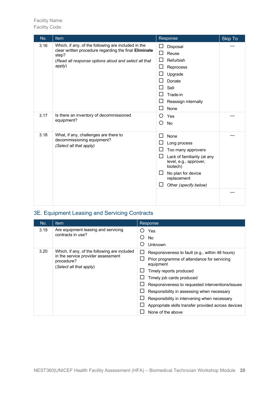# Facility Name:

Facility Code:

| No.                                                   | Item                                                                                                                  | Skip To<br>Response                                               |
|-------------------------------------------------------|-----------------------------------------------------------------------------------------------------------------------|-------------------------------------------------------------------|
| 3.16                                                  | Which, if any, of the following are included in the<br>clear written procedure regarding the final Eliminate<br>step? | Disposal<br>Reuse<br>囗                                            |
|                                                       | (Read all response options aloud and select all that                                                                  | Refurbish                                                         |
|                                                       | apply)                                                                                                                | Reprocess                                                         |
|                                                       |                                                                                                                       | Upgrade                                                           |
|                                                       |                                                                                                                       | Donate                                                            |
|                                                       |                                                                                                                       | Sell                                                              |
|                                                       |                                                                                                                       | Trade-in                                                          |
|                                                       |                                                                                                                       | Reassign internally                                               |
|                                                       |                                                                                                                       | None                                                              |
| 3.17                                                  | Is there an inventory of decommissioned                                                                               | O<br>Yes                                                          |
|                                                       | equipment?                                                                                                            | O<br>No                                                           |
| 3.18                                                  | What, if any, challenges are there to                                                                                 | None                                                              |
| decommissioning equipment?<br>(Select all that apply) |                                                                                                                       | Long process                                                      |
|                                                       |                                                                                                                       | Too many approvers                                                |
|                                                       |                                                                                                                       | Lack of familiarity (at any<br>level, e.g., approver,<br>biotech) |
|                                                       |                                                                                                                       | No plan for device<br>$\Box$<br>replacement                       |
|                                                       |                                                                                                                       | Other (specify below)                                             |
|                                                       |                                                                                                                       |                                                                   |

# 3E. Equipment Leasing and Servicing Contracts

| No.  | <b>Item</b>                                                                                                                 | Response                                                                                                                                                                                                                                                                                                                                                                                          |  |
|------|-----------------------------------------------------------------------------------------------------------------------------|---------------------------------------------------------------------------------------------------------------------------------------------------------------------------------------------------------------------------------------------------------------------------------------------------------------------------------------------------------------------------------------------------|--|
| 3.19 | Are equipment leasing and servicing<br>contracts in use?                                                                    | Yes<br>( )<br>No.<br>Unknown<br>( )                                                                                                                                                                                                                                                                                                                                                               |  |
| 3.20 | Which, if any, of the following are included<br>in the service provider assessment<br>procedure?<br>(Select all that apply) | Responsiveness to fault (e.g., within 48 hours)<br>Prior programme of attendance for servicing<br>equipment<br>Timely reports produced<br>Timely job cards produced<br>Responsiveness to requested interventions/issues<br>Responsibility in assessing when necessary<br>Responsibility in intervening when necessary<br>Appropriate skills transfer provided across devices<br>None of the above |  |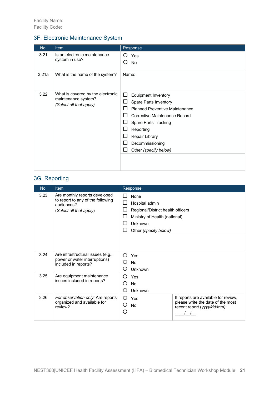# 3F. Electronic Maintenance System

| No.   | <b>Item</b>                                                                         | Response                                                                                                                                                                                                                                                                      |
|-------|-------------------------------------------------------------------------------------|-------------------------------------------------------------------------------------------------------------------------------------------------------------------------------------------------------------------------------------------------------------------------------|
| 3.21  | Is an electronic maintenance<br>system in use?                                      | Yes<br>( )<br><b>No</b><br>( )                                                                                                                                                                                                                                                |
| 3.21a | What is the name of the system?                                                     | Name:                                                                                                                                                                                                                                                                         |
| 3.22  | What is covered by the electronic<br>maintenance system?<br>(Select all that apply) | <b>Equipment Inventory</b><br>ΙI<br>Spare Parts Inventory<br><b>Planned Preventive Maintenance</b><br><b>Corrective Maintenance Record</b><br>$\mathsf{L}$<br>Spare Parts Tracking<br>$\mathsf{L}$<br>Reporting<br>Repair Library<br>Decommissioning<br>Other (specify below) |

# 3G. Reporting

| No.  | <b>Item</b>                                                                                                 | Response                                                                                                                                                               |  |
|------|-------------------------------------------------------------------------------------------------------------|------------------------------------------------------------------------------------------------------------------------------------------------------------------------|--|
| 3.23 | Are monthly reports developed<br>to report to any of the following<br>audiences?<br>(Select all that apply) | LΙ<br>None<br>Hospital admin<br>$\mathsf{L}$<br>Regional/District health officers<br>$\mathsf{L}$<br>Ministry of Health (national)<br>Unknown<br>Other (specify below) |  |
| 3.24 | Are infrastructural issues (e.g.,<br>power or water interruptions)<br>included in reports?                  | ∩<br>Yes<br><b>No</b><br>∩<br>Unknown                                                                                                                                  |  |
| 3.25 | Are equipment maintenance<br>issues included in reports?                                                    | ∩<br>Yes<br>∩<br><b>No</b><br>Unknown                                                                                                                                  |  |
| 3.26 | For observation only: Are reports<br>organized and available for<br>review?                                 | If reports are available for review,<br>∩<br>Yes<br>please write the date of the most<br>О<br><b>No</b><br>recent report (yyyy/dd/mm):<br>O                            |  |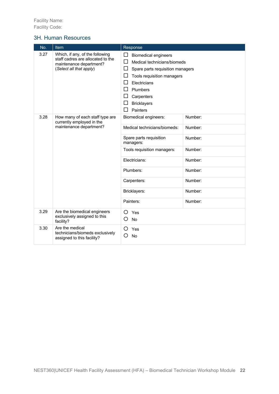#### 3H. Human Resources

| No.  | Item                                                                                                                       | Response                                                                                                                                                                                                                                                                                      |         |
|------|----------------------------------------------------------------------------------------------------------------------------|-----------------------------------------------------------------------------------------------------------------------------------------------------------------------------------------------------------------------------------------------------------------------------------------------|---------|
| 3.27 | Which, if any, of the following<br>staff cadres are allocated to the<br>maintenance department?<br>(Select all that apply) | □<br><b>Biomedical engineers</b><br>$\Box$<br>Medical technicians/biomeds<br>$\Box$<br>Spare parts requisition managers<br>□<br>Tools requisition managers<br>Electricians<br>ΙI<br>П<br>Plumbers<br>$\Box$<br>Carpenters<br><b>Bricklayers</b><br>$\overline{\phantom{a}}$<br>Painters<br>ΙI |         |
| 3.28 | How many of each staff type are<br>currently employed in the                                                               | <b>Biomedical engineers:</b>                                                                                                                                                                                                                                                                  | Number: |
|      | maintenance department?                                                                                                    | Medical technicians/biomeds:                                                                                                                                                                                                                                                                  | Number: |
|      |                                                                                                                            | Spare parts requisition<br>managers:                                                                                                                                                                                                                                                          | Number: |
|      |                                                                                                                            | Tools requisition managers:                                                                                                                                                                                                                                                                   | Number: |
|      |                                                                                                                            | Electricians:                                                                                                                                                                                                                                                                                 | Number: |
|      |                                                                                                                            | Plumbers:                                                                                                                                                                                                                                                                                     | Number: |
|      |                                                                                                                            | Carpenters:                                                                                                                                                                                                                                                                                   | Number: |
|      |                                                                                                                            | Bricklayers:                                                                                                                                                                                                                                                                                  | Number: |
|      |                                                                                                                            | Painters:                                                                                                                                                                                                                                                                                     | Number: |
| 3.29 | Are the biomedical engineers<br>exclusively assigned to this<br>facility?                                                  | Yes<br>O<br>Ο<br>No                                                                                                                                                                                                                                                                           |         |
| 3.30 | Are the medical<br>technicians/biomeds exclusively<br>assigned to this facility?                                           | Ω<br>Yes<br>O<br><b>No</b>                                                                                                                                                                                                                                                                    |         |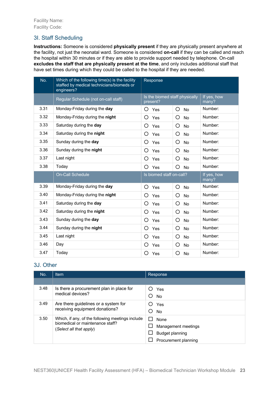### 3I. Staff Scheduling

**Instructions:** Someone is considered **physically present** if they are physically present anywhere at the facility, not just the neonatal ward. Someone is considered **on-call** if they can be called and reach the hospital within 30 minutes or if they are able to provide support needed by telephone. On-call **excludes the staff that are physically present at the time**, and only includes additional staff that have set times during which they could be called to the hospital if they are needed.

| No.  | Which of the following time(s) is the facility<br>staffed by medical technicians/biomeds or<br>engineers? | Response                                   |                |                      |
|------|-----------------------------------------------------------------------------------------------------------|--------------------------------------------|----------------|----------------------|
|      | Regular Schedule (not on-call staff)                                                                      | Is the biomed staff physically<br>present? |                | If yes, how<br>many? |
| 3.31 | Monday-Friday during the day                                                                              | O<br>Yes                                   | O<br><b>No</b> | Number:              |
| 3.32 | Monday-Friday during the night                                                                            | Ω<br>Yes                                   | O<br><b>No</b> | Number:              |
| 3.33 | Saturday during the day                                                                                   | Ω<br><b>Yes</b>                            | O<br><b>No</b> | Number:              |
| 3.34 | Saturday during the night                                                                                 | Ω<br>Yes                                   | O<br><b>No</b> | Number:              |
| 3.35 | Sunday during the day                                                                                     | O<br>Yes                                   | O<br><b>No</b> | Number:              |
| 3.36 | Sunday during the night                                                                                   | O<br><b>Yes</b>                            | O<br><b>No</b> | Number:              |
| 3.37 | Last night                                                                                                | Ω<br>Yes                                   | O<br>No        | Number:              |
| 3.38 | Today                                                                                                     | O<br>Yes                                   | O<br><b>No</b> | Number:              |
|      | <b>On-Call Schedule</b>                                                                                   | Is biomed staff on-call?                   |                | If yes, how<br>many? |
| 3.39 | Monday-Friday during the day                                                                              | ◯<br>Yes                                   | O<br><b>No</b> | Number:              |
| 3.40 | Monday-Friday during the night                                                                            | ◯<br><b>Yes</b>                            | O<br><b>No</b> | Number:              |
| 3.41 | Saturday during the day                                                                                   | O<br>Yes                                   | O<br><b>No</b> | Number:              |
| 3.42 | Saturday during the night                                                                                 | Ο<br><b>Yes</b>                            | O<br><b>No</b> | Number:              |
| 3.43 | Sunday during the day                                                                                     | Ο<br><b>Yes</b>                            | O<br><b>No</b> | Number:              |
| 3.44 | Sunday during the night                                                                                   | ◯<br>Yes                                   | O<br>No        | Number:              |
| 3.45 | Last night                                                                                                | Ο<br>Yes                                   | O<br>No        | Number:              |
| 3.46 | Day                                                                                                       | O<br>Yes                                   | O<br>No        | Number:              |
| 3.47 | Today                                                                                                     | Ω<br>Yes                                   | O<br><b>No</b> | Number:              |

# 3J. Other

| No.  | <b>Item</b>                                                                                                     | Response                                                                      |
|------|-----------------------------------------------------------------------------------------------------------------|-------------------------------------------------------------------------------|
|      |                                                                                                                 |                                                                               |
| 3.48 | Is there a procurement plan in place for<br>medical devices?                                                    | Yes<br><b>No</b>                                                              |
| 3.49 | Are there guidelines or a system for<br>receiving equipment donations?                                          | Yes<br><b>No</b>                                                              |
| 3.50 | Which, if any, of the following meetings include<br>biomedical or maintenance staff?<br>(Select all that apply) | <b>None</b><br>Management meetings<br>Budget planning<br>Procurement planning |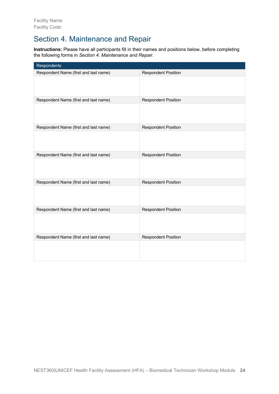# Section 4. Maintenance and Repair

**Instructions:** Please have all participants fill in their names and positions below, before completing the following forms in *Section 4. Maintenance and Repair.*

| Respondents                           |                            |
|---------------------------------------|----------------------------|
| Respondent Name (first and last name) | <b>Respondent Position</b> |
|                                       |                            |
| Respondent Name (first and last name) | <b>Respondent Position</b> |
|                                       |                            |
| Respondent Name (first and last name) | <b>Respondent Position</b> |
|                                       |                            |
| Respondent Name (first and last name) | <b>Respondent Position</b> |
|                                       |                            |
| Respondent Name (first and last name) | <b>Respondent Position</b> |
|                                       |                            |
| Respondent Name (first and last name) | <b>Respondent Position</b> |
|                                       |                            |
| Respondent Name (first and last name) | <b>Respondent Position</b> |
|                                       |                            |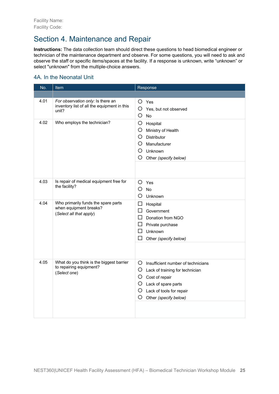# Section 4. Maintenance and Repair

**Instructions:** The data collection team should direct these questions to head biomedical engineer or technician of the maintenance department and observe. For some questions, you will need to ask and observe the staff or specific items/spaces at the facility. If a response is unknown, write "unknown" or select "unknown" from the multiple-choice answers.

# 4A. In the Neonatal Unit

| No.  | Item                                                                                      | Response                                                                                                                                                                                  |  |
|------|-------------------------------------------------------------------------------------------|-------------------------------------------------------------------------------------------------------------------------------------------------------------------------------------------|--|
|      |                                                                                           |                                                                                                                                                                                           |  |
| 4.01 | For observation only: Is there an<br>inventory list of all the equipment in this<br>unit? | O Yes<br>O<br>Yes, but not observed<br>O<br><b>No</b>                                                                                                                                     |  |
| 4.02 | Who employs the technician?                                                               | O<br>Hospital<br>O.<br>Ministry of Health<br>O.<br>Distributor<br>$\left( \right)$<br>Manufacturer<br>O<br>Unknown<br>Ő<br>Other (specify below)                                          |  |
| 4.03 | Is repair of medical equipment free for<br>the facility?                                  | O<br>Yes<br>O<br><b>No</b><br>O<br>Unknown                                                                                                                                                |  |
| 4.04 | Who primarily funds the spare parts<br>when equipment breaks?<br>(Select all that apply)  | $\Box$<br>Hospital<br>Government<br>П<br>$\Box$ Donation from NGO<br>$\Box$ Private purchase<br>П<br>Unknown<br>П<br>Other (specify below)                                                |  |
| 4.05 | What do you think is the biggest barrier<br>to repairing equipment?<br>(Select one)       | Ő<br>Insufficient number of technicians<br>O.<br>Lack of training for technician<br>O Cost of repair<br>O Lack of spare parts<br>O Lack of tools for repair<br>O<br>Other (specify below) |  |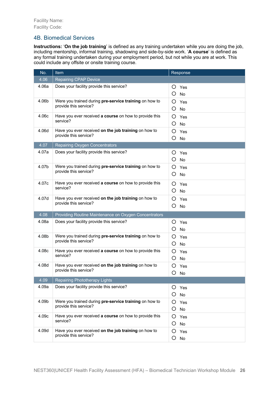### 4B. Biomedical Services

**Instructions:** '**On the job training**' is defined as any training undertaken while you are doing the job, including mentorship, informal training, shadowing and side-by-side work. '**A course**' is defined as any formal training undertaken during your employment period, but not while you are at work. This could include any offsite or onsite training course.

| No.   | Item                                                   | Response       |
|-------|--------------------------------------------------------|----------------|
| 4.06  | <b>Repairing CPAP Device</b>                           |                |
| 4.06a | Does your facility provide this service?               | Ő<br>Yes       |
|       |                                                        | O<br><b>No</b> |
| 4.06b | Were you trained during pre-service training on how to | O<br>Yes       |
|       | provide this service?                                  | O<br>No        |
| 4.06c | Have you ever received a course on how to provide this | Yes<br>O       |
|       | service?                                               | O<br>No        |
| 4.06d | Have you ever received on the job training on how to   | O<br>Yes       |
|       | provide this service?                                  | О<br>No        |
| 4.07  | <b>Repairing Oxygen Concentrators</b>                  |                |
| 4.07a | Does your facility provide this service?               | $\circ$<br>Yes |
|       |                                                        | Ő<br>No        |
| 4.07b | Were you trained during pre-service training on how to | O<br>Yes       |
|       | provide this service?                                  | Ő<br>No        |
| 4.07c | Have you ever received a course on how to provide this | Yes<br>O       |
|       | service?                                               | Ő<br><b>No</b> |
| 4.07d | Have you ever received on the job training on how to   | Yes<br>O       |
|       | provide this service?                                  | O<br>No        |
| 4.08  | Providing Routine Maintenance on Oxygen Concentrators  |                |
| 4.08a | Does your facility provide this service?               | O<br>Yes       |
|       |                                                        | O<br>No        |
| 4.08b | Were you trained during pre-service training on how to | O<br>Yes       |
|       | provide this service?                                  | Ő<br>No        |
| 4.08c | Have you ever received a course on how to provide this | Yes<br>O       |
|       | service?                                               | No<br>Ő        |
| 4.08d | Have you ever received on the job training on how to   | O<br>Yes       |
|       | provide this service?                                  | Ο<br>No        |
| 4.09  | Repairing Phototherapy Lights                          |                |
| 4.09a | Does your facility provide this service?               | O<br>Yes       |
|       |                                                        | O.<br>No       |
| 4.09b | Were you trained during pre-service training on how to | O<br>Yes       |
|       | provide this service?                                  | O<br>No        |
| 4.09c | Have you ever received a course on how to provide this | O<br>Yes       |
|       | service?                                               | O<br>No        |
| 4.09d | Have you ever received on the job training on how to   | O<br>Yes       |
|       | provide this service?                                  | O<br>No        |
|       |                                                        |                |